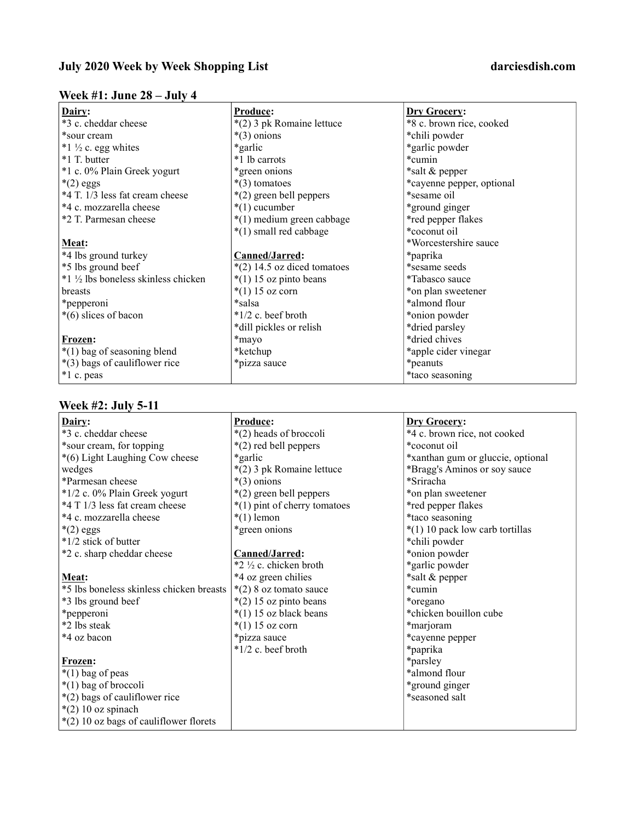# Week #1: June 28 – July 4

| Dairy:                             | Produce:                      | <b>Dry Grocery:</b>       |
|------------------------------------|-------------------------------|---------------------------|
| *3 c. cheddar cheese               | *(2) 3 pk Romaine lettuce     | *8 c. brown rice, cooked  |
| *sour cream                        | $*(3)$ onions                 | *chili powder             |
| $*1 \frac{1}{2}$ c. egg whites     | *garlic*                      | *garlic powder            |
| *1 T. butter                       | *1 lb carrots                 | *cumin                    |
| *1 c. 0% Plain Greek yogurt        | *green onions                 | *salt & pepper            |
| $*(2)$ eggs                        | $*(3)$ tomatoes               | *cayenne pepper, optional |
| *4 T. 1/3 less fat cream cheese    | $*(2)$ green bell peppers     | *sesame oil               |
| *4 c. mozzarella cheese            | $*(1)$ cucumber               | *ground ginger            |
| *2 T. Parmesan cheese              | *(1) medium green cabbage     | *red pepper flakes        |
|                                    | *(1) small red cabbage        | *coconut oil              |
| Meat:                              |                               | *Worcestershire sauce     |
| *4 lbs ground turkey               | Canned/Jarred:                | *paprika                  |
| *5 lbs ground beef                 | $*(2)$ 14.5 oz diced tomatoes | *sesame seeds             |
| *1 ½ lbs boneless skinless chicken | $*(1)$ 15 oz pinto beans      | *Tabasco sauce            |
| breasts                            | $*(1) 15$ oz corn             | *on plan sweetener        |
| *pepperoni                         | *salsa                        | *almond flour             |
| $*(6)$ slices of bacon             | $*1/2$ c. beef broth          | *onion powder             |
|                                    | *dill pickles or relish       | *dried parsley            |
| Frozen:                            | *mayo                         | *dried chives             |
| $*(1)$ bag of seasoning blend      | *ketchup                      | *apple cider vinegar      |
| *(3) bags of cauliflower rice      | *pizza sauce                  | *peanuts                  |
| *1 c. peas                         |                               | *taco seasoning           |

### Week #2: July 5-11

| Dairy:                                   | Produce:                     | <b>Dry Grocery:</b>               |
|------------------------------------------|------------------------------|-----------------------------------|
| *3 c. cheddar cheese                     | *(2) heads of broccoli       | *4 c. brown rice, not cooked      |
| *sour cream, for topping                 | *(2) red bell peppers        | *coconut oil                      |
| *(6) Light Laughing Cow cheese           | *garlic                      | *xanthan gum or gluccie, optional |
| wedges                                   | *(2) 3 pk Romaine lettuce    | *Bragg's Aminos or soy sauce      |
| *Parmesan cheese                         | $*(3)$ onions                | *Sriracha                         |
| *1/2 c. 0% Plain Greek yogurt            | *(2) green bell peppers      | *on plan sweetener                |
| *4 T 1/3 less fat cream cheese           | *(1) pint of cherry tomatoes | *red pepper flakes                |
| *4 c. mozzarella cheese                  | $*(1)$ lemon                 | *taco seasoning                   |
| $*(2)$ eggs                              | *green onions                | *(1) 10 pack low carb tortillas   |
| *1/2 stick of butter                     |                              | *chili powder                     |
| *2 c. sharp cheddar cheese               | Canned/Jarred:               | *onion powder                     |
|                                          | *2 ½ c. chicken broth        | *garlic powder                    |
| Meat:                                    | *4 oz green chilies          | *salt & pepper                    |
| *5 lbs boneless skinless chicken breasts | $*(2)$ 8 oz tomato sauce     | *cumin                            |
| *3 lbs ground beef                       | $*(2)$ 15 oz pinto beans     | *oregano                          |
| *pepperoni                               | $*(1)$ 15 oz black beans     | *chicken bouillon cube            |
| *2 lbs steak                             | $*(1) 15 oz corn$            | *marjoram                         |
| *4 oz bacon                              | *pizza sauce                 | *cayenne pepper                   |
|                                          | $*1/2$ c. beef broth         | *paprika                          |
| Frozen:                                  |                              | *parsley                          |
| $*(1)$ bag of peas                       |                              | *almond flour                     |
| *(1) bag of broccoli                     |                              | *ground ginger                    |
| *(2) bags of cauliflower rice            |                              | *seasoned salt                    |
| $*(2)$ 10 oz spinach                     |                              |                                   |
| *(2) 10 oz bags of cauliflower florets   |                              |                                   |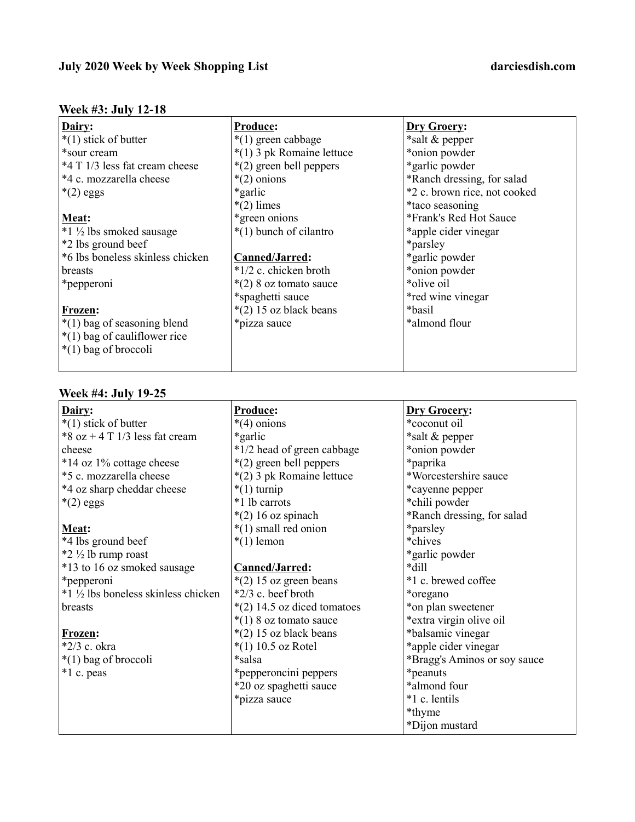## July 2020 Week by Week Shopping List darciesdish.com

# Week #3: July 12-18

| Dairy:                             | <b>Produce:</b>           | Dry Groery:                  |
|------------------------------------|---------------------------|------------------------------|
| $*(1)$ stick of butter             | $*(1)$ green cabbage      | *salt & pepper               |
| *sour cream                        | *(1) 3 pk Romaine lettuce | *onion powder                |
| *4 T 1/3 less fat cream cheese     | *(2) green bell peppers   | *garlic powder               |
| *4 c. mozzarella cheese            | $*(2)$ onions             | *Ranch dressing, for salad   |
| $*(2)$ eggs                        | *garlic*                  | *2 c. brown rice, not cooked |
|                                    | $*(2)$ limes              | *taco seasoning              |
| Meat:                              | *green onions             | *Frank's Red Hot Sauce       |
| $*1\frac{1}{2}$ lbs smoked sausage | *(1) bunch of cilantro    | *apple cider vinegar         |
| *2 lbs ground beef                 |                           | *parsley                     |
| *6 lbs boneless skinless chicken   | Canned/Jarred:            | *garlic powder               |
| breasts                            | $*1/2$ c. chicken broth   | *onion powder                |
| *pepperoni                         | $*(2)$ 8 oz tomato sauce  | *olive oil                   |
|                                    | *spaghetti sauce          | *red wine vinegar            |
| Frozen:                            | $*(2)$ 15 oz black beans  | *basil*                      |
| *(1) bag of seasoning blend        | *pizza sauce              | *almond flour                |
| $*(1)$ bag of cauliflower rice     |                           |                              |
| *(1) bag of broccoli               |                           |                              |
|                                    |                           |                              |

### Week #4: July 19-25

| Dairy:                             | Produce:                      | <b>Dry Grocery:</b>          |
|------------------------------------|-------------------------------|------------------------------|
| $*(1)$ stick of butter             | $*(4)$ onions                 | *coconut oil                 |
| *8 oz + 4 T $1/3$ less fat cream   | *garlic                       | *salt & pepper               |
| cheese                             | *1/2 head of green cabbage    | *onion powder                |
| *14 oz 1% cottage cheese           | *(2) green bell peppers       | *paprika                     |
| *5 c. mozzarella cheese            | *(2) 3 pk Romaine lettuce     | *Worcestershire sauce        |
| *4 oz sharp cheddar cheese         | $*(1)$ turnip                 | *cayenne pepper              |
| $*(2)$ eggs                        | *1 lb carrots                 | *chili powder                |
|                                    | $*(2)$ 16 oz spinach          | *Ranch dressing, for salad   |
| Meat:                              | $*(1)$ small red onion        | *parsley                     |
| *4 lbs ground beef                 | $*(1)$ lemon                  | *chives                      |
| $*2 \frac{1}{2}$ lb rump roast     |                               | *garlic powder               |
| *13 to 16 oz smoked sausage        | Canned/Jarred:                | *dill                        |
| *pepperoni                         | $*(2)$ 15 oz green beans      | *1 c. brewed coffee          |
| *1 ½ lbs boneless skinless chicken | *2/3 c. beef broth            | *oregano                     |
| breasts                            | $*(2)$ 14.5 oz diced tomatoes | *on plan sweetener           |
|                                    | $*(1)$ 8 oz tomato sauce      | *extra virgin olive oil      |
| Frozen:                            | $*(2)$ 15 oz black beans      | *balsamic vinegar            |
| *2/3 c. okra                       | $*(1)$ 10.5 oz Rotel          | *apple cider vinegar         |
| $*(1)$ bag of broccoli             | *salsa                        | *Bragg's Aminos or soy sauce |
| *1 c. peas                         | *pepperoncini peppers         | *peanuts                     |
|                                    | *20 oz spaghetti sauce        | *almond four                 |
|                                    | *pizza sauce                  | *1 c. lentils                |
|                                    |                               | *thyme                       |
|                                    |                               | *Dijon mustard               |